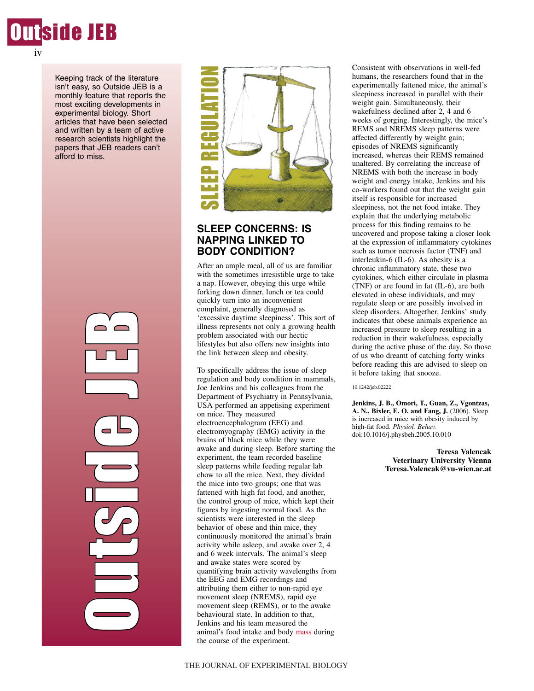

iv

Keeping track of the literature isn't easy, so Outside JEB is a monthly feature that reports the most exciting developments in experimental biology. Short articles that have been selected and written by a team of active research scientists highlight the papers that JEB readers can't afford to miss.





## **SLEEP CONCERNS: IS NAPPING LINKED TO BODY CONDITION?**

After an ample meal, all of us are familiar with the sometimes irresistible urge to take a nap. However, obeying this urge while forking down dinner, lunch or tea could quickly turn into an inconvenient complaint, generally diagnosed as 'excessive daytime sleepiness'. This sort of illness represents not only a growing health problem associated with our hectic lifestyles but also offers new insights into the link between sleep and obesity.

To specifically address the issue of sleep regulation and body condition in mammals, Joe Jenkins and his colleagues from the Department of Psychiatry in Pennsylvania, USA performed an appetising experiment on mice. They measured electroencephalogram (EEG) and electromyography (EMG) activity in the brains of black mice while they were awake and during sleep. Before starting the experiment, the team recorded baseline sleep patterns while feeding regular lab chow to all the mice. Next, they divided the mice into two groups; one that was fattened with high fat food, and another, the control group of mice, which kept their figures by ingesting normal food. As the scientists were interested in the sleep behavior of obese and thin mice, they continuously monitored the animal's brain activity while asleep, and awake over 2, 4 and 6 week intervals. The animal's sleep and awake states were scored by quantifying brain activity wavelengths from the EEG and EMG recordings and attributing them either to non-rapid eye movement sleep (NREMS), rapid eye movement sleep (REMS), or to the awake behavioural state. In addition to that, Jenkins and his team measured the animal's food intake and body mass during the course of the experiment.

humans, the researchers found that in the experimentally fattened mice, the animal's sleepiness increased in parallel with their weight gain. Simultaneously, their wakefulness declined after 2, 4 and 6 weeks of gorging. Interestingly, the mice's REMS and NREMS sleep patterns were affected differently by weight gain; episodes of NREMS significantly increased, whereas their REMS remained unaltered. By correlating the increase of NREMS with both the increase in body weight and energy intake, Jenkins and his co-workers found out that the weight gain itself is responsible for increased sleepiness, not the net food intake. They explain that the underlying metabolic process for this finding remains to be uncovered and propose taking a closer look at the expression of inflammatory cytokines such as tumor necrosis factor (TNF) and interleukin-6 (IL-6). As obesity is a chronic inflammatory state, these two cytokines, which either circulate in plasma (TNF) or are found in fat (IL-6), are both elevated in obese individuals, and may regulate sleep or are possibly involved in sleep disorders. Altogether, Jenkins' study indicates that obese animals experience an increased pressure to sleep resulting in a reduction in their wakefulness, especially during the active phase of the day. So those of us who dreamt of catching forty winks before reading this are advised to sleep on it before taking that snooze.

Consistent with observations in well-fed

10.1242/jeb.02222

**Jenkins, J. B., Omori, T., Guan, Z., Vgontzas, A. N., Bixler, E. O. and Fang, J.** (2006). Sleep is increased in mice with obesity induced by high-fat food. *Physiol. Behav.* doi:10.1016/j.physbeh.2005.10.010

> **Teresa Valencak Veterinary University Vienna Teresa.Valencak@vu-wien.ac.at**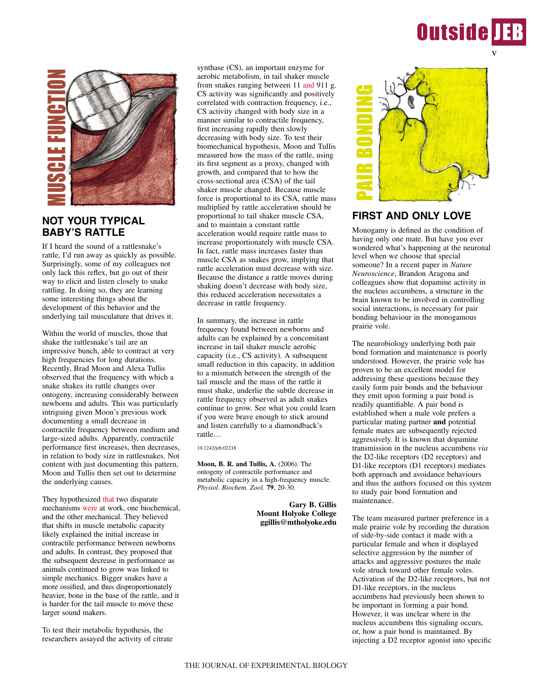



## **NOT YOUR TYPICAL BABY'S RATTLE**

If I heard the sound of a rattlesnake's rattle, I'd run away as quickly as possible. Surprisingly, some of my colleagues not only lack this reflex, but go out of their way to elicit and listen closely to snake rattling. In doing so, they are learning some interesting things about the development of this behavior and the underlying tail musculature that drives it.

Within the world of muscles, those that shake the rattlesnake's tail are an impressive bunch, able to contract at very high frequencies for long durations. Recently, Brad Moon and Alexa Tullis observed that the frequency with which a snake shakes its rattle changes over ontogeny, increasing considerably between newborns and adults. This was particularly intriguing given Moon's previous work documenting a small decrease in contractile frequency between medium and large-sized adults. Apparently, contractile performance first increases, then decreases, in relation to body size in rattlesnakes. Not content with just documenting this pattern, Moon and Tullis then set out to determine the underlying causes.

They hypothesized that two disparate mechanisms were at work, one biochemical, and the other mechanical. They believed that shifts in muscle metabolic capacity likely explained the initial increase in contractile performance between newborns and adults. In contrast, they proposed that the subsequent decrease in performance as animals continued to grow was linked to simple mechanics. Bigger snakes have a more ossified, and thus disproportionately heavier, bone in the base of the rattle, and it is harder for the tail muscle to move these larger sound makers.

To test their metabolic hypothesis, the researchers assayed the activity of citrate

synthase (CS), an important enzyme for aerobic metabolism, in tail shaker muscle from snakes ranging between 11 and 911 g. CS activity was significantly and positively correlated with contraction frequency, i.e., CS activity changed with body size in a manner similar to contractile frequency, first increasing rapidly then slowly decreasing with body size. To test their biomechanical hypothesis, Moon and Tullis measured how the mass of the rattle, using its first segment as a proxy, changed with growth, and compared that to how the cross-sectional area (CSA) of the tail shaker muscle changed. Because muscle force is proportional to its CSA, rattle mass multiplied by rattle acceleration should be proportional to tail shaker muscle CSA, and to maintain a constant rattle acceleration would require rattle mass to increase proportionately with muscle CSA. In fact, rattle mass increases faster than muscle CSA as snakes grow, implying that rattle acceleration must decrease with size. Because the distance a rattle moves during shaking doesn't decrease with body size, this reduced acceleration necessitates a decrease in rattle frequency.

In summary, the increase in rattle frequency found between newborns and adults can be explained by a concomitant increase in tail shaker muscle aerobic capacity (i.e., CS activity). A subsequent small reduction in this capacity, in addition to a mismatch between the strength of the tail muscle and the mass of the rattle it must shake, underlie the subtle decrease in rattle frequency observed as adult snakes continue to grow. See what you could learn if you were brave enough to stick around and listen carefully to a diamondback's rattle…

10.1242/jeb.02218

**Moon, B. R. and Tullis, A.** (2006). The ontogeny of contractile performance and metabolic capacity in a high-frequency muscle. *Physiol. Biochem. Zool.* **79**, 20-30.

> **Gary B. Gillis Mount Holyoke College ggillis@mtholyoke.edu**



# **FIRST AND ONLY LOVE**

Monogamy is defined as the condition of having only one mate. But have you ever wondered what's happening at the neuronal level when we choose that special someone? In a recent paper in *Nature Neuroscience*, Brandon Aragona and colleagues show that dopamine activity in the nucleus accumbens, a structure in the brain known to be involved in controlling social interactions, is necessary for pair bonding behaviour in the monogamous prairie vole.

The neurobiology underlying both pair bond formation and maintenance is poorly understood. However, the prairie vole has proven to be an excellent model for addressing these questions because they easily form pair bonds and the behaviour they emit upon forming a pair bond is readily quantifiable. A pair bond is established when a male vole prefers a particular mating partner **and** potential female mates are subsequently rejected aggressively. It is known that dopamine transmission in the nucleus accumbens *via* the D2-like receptors (D2 receptors) and D1-like receptors (D1 receptors) mediates both approach and avoidance behaviours and thus the authors focused on this system to study pair bond formation and maintenance.

The team measured partner preference in a male prairie vole by recording the duration of side-by-side contact it made with a particular female and when it displayed selective aggression by the number of attacks and aggressive postures the male vole struck toward other female voles. Activation of the D2-like receptors, but not D1-like receptors, in the nucleus accumbens had previously been shown to be important in forming a pair bond. However, it was unclear where in the nucleus accumbens this signaling occurs, or, how a pair bond is maintained. By injecting a D2 receptor agonist into specific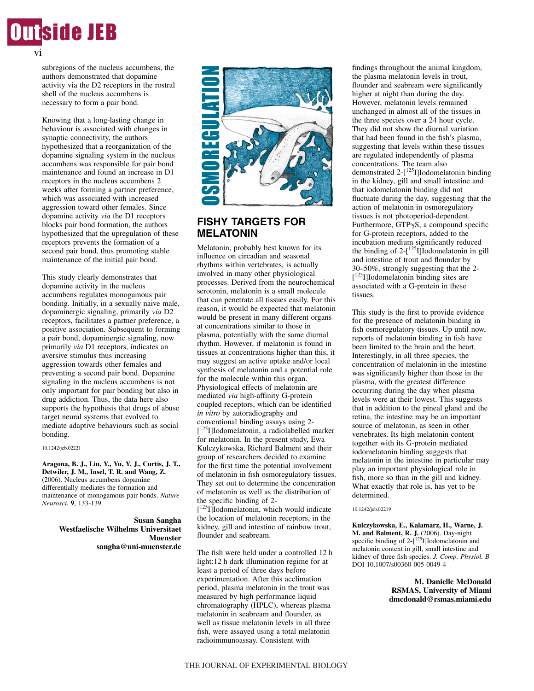

subregions of the nucleus accumbens, the authors demonstrated that dopamine activity via the D2 receptors in the rostral shell of the nucleus accumbens is necessary to form a pair bond.

Knowing that a long-lasting change in behaviour is associated with changes in synaptic connectivity, the authors hypothesized that a reorganization of the dopamine signaling system in the nucleus accumbens was responsible for pair bond maintenance and found an increase in D1 receptors in the nucleus accumbens 2 weeks after forming a partner preference, which was associated with increased aggression toward other females. Since dopamine activity *via* the D1 receptors blocks pair bond formation, the authors hypothesized that the upregulation of these receptors prevents the formation of a second pair bond, thus promoting stable maintenance of the initial pair bond.

This study clearly demonstrates that dopamine activity in the nucleus accumbens regulates monogamous pair bonding. Initially, in a sexually naive male, dopaminergic signaling, primarily *via* D2 receptors, facilitates a partner preference, a positive association. Subsequent to forming a pair bond, dopaminergic signaling, now primarily *via* D1 receptors, indicates an aversive stimulus thus increasing aggression towards other females and preventing a second pair bond. Dopamine signaling in the nucleus accumbens is not only important for pair bonding but also in drug addiction. Thus, the data here also supports the hypothesis that drugs of abuse target neural systems that evolved to mediate adaptive behaviours such as social bonding.

#### 10.1242/jeb.02221

**Aragona, B. J., Liu, Y., Yu, Y. J., Curtis, J. T., Detwiler, J. M., Insel, T. R. and Wang, Z.** (2006). Nucleus accumbens dopamine differentially mediates the formation and maintenance of monogamous pair bonds. *Nature Neurosci.* **9**, 133-139.

> **Susan Sangha Westfaelische Wilhelms Universitaet Muenster sangha@uni-muenster.de**



### **FISHY TARGETS FOR MELATONIN**

Melatonin, probably best known for its influence on circadian and seasonal rhythms within vertebrates, is actually involved in many other physiological processes. Derived from the neurochemical serotonin, melatonin is a small molecule that can penetrate all tissues easily. For this reason, it would be expected that melatonin would be present in many different organs at concentrations similar to those in plasma, potentially with the same diurnal rhythm. However, if melatonin is found in tissues at concentrations higher than this, it may suggest an active uptake and/or local synthesis of melatonin and a potential role for the molecule within this organ. Physiological effects of melatonin are mediated *via* high-affinity G-protein coupled receptors, which can be identified *in vitro* by autoradiography and conventional binding assays using 2- [ 125I]Iodomelatonin, a radiolabelled marker for melatonin. In the present study, Ewa Kulczykowska, Richard Balment and their group of researchers decided to examine for the first time the potential involvement of melatonin in fish osmoregulatory tissues. They set out to determine the concentration of melatonin as well as the distribution of the specific binding of 2-

[<sup>125</sup>I]Iodomelatonin, which would indicate the location of melatonin receptors, in the kidney, gill and intestine of rainbow trout, flounder and seabream.

The fish were held under a controlled 12 h light:12 h dark illumination regime for at least a period of three days before experimentation. After this acclimation period, plasma melatonin in the trout was measured by high performance liquid chromatography (HPLC), whereas plasma melatonin in seabream and flounder, as well as tissue melatonin levels in all three fish, were assayed using a total melatonin radioimmunoassay. Consistent with

findings throughout the animal kingdom, the plasma melatonin levels in trout, flounder and seabream were significantly higher at night than during the day. However, melatonin levels remained unchanged in almost all of the tissues in the three species over a 24 hour cycle. They did not show the diurnal variation that had been found in the fish's plasma, suggesting that levels within these tissues are regulated independently of plasma concentrations. The team also demonstrated  $2-[125]$  [lodomelatonin binding in the kidney, gill and small intestine and that iodomelatonin binding did not fluctuate during the day, suggesting that the action of melatonin in osmoregulatory tissues is not photoperiod-dependent. Furthermore, GTPyS, a compound specific for G-protein receptors, added to the incubation medium significantly reduced the binding of  $2-[$ <sup>125</sup>I]Iodomelatonin in gill and intestine of trout and flounder by 30–50%, strongly suggesting that the 2- [<sup>125</sup>I]Iodomelatonin binding sites are associated with a G-protein in these tissues.

This study is the first to provide evidence for the presence of melatonin binding in fish osmoregulatory tissues. Up until now, reports of melatonin binding in fish have been limited to the brain and the heart. Interestingly, in all three species, the concentration of melatonin in the intestine was significantly higher than those in the plasma, with the greatest difference occurring during the day when plasma levels were at their lowest. This suggests that in addition to the pineal gland and the retina, the intestine may be an important source of melatonin, as seen in other vertebrates. Its high melatonin content together with its G-protein mediated iodomelatonin binding suggests that melatonin in the intestine in particular may play an important physiological role in fish, more so than in the gill and kidney. What exactly that role is, has yet to be determined.

### 10.1242/jeb.02219

**Kulczykowska, E., Kalamarz, H., Warne, J. M. and Balment, R. J.** (2006). Day-night specific binding of 2-[<sup>125</sup>I]Iodomelatonin and melatonin content in gill, small intestine and kidney of three fish species. *J. Comp. Physiol. B* DOI 10.1007/s00360-005-0049-4

> **M. Danielle McDonald RSMAS, University of Miami dmcdonald@rsmas.miami.edu**